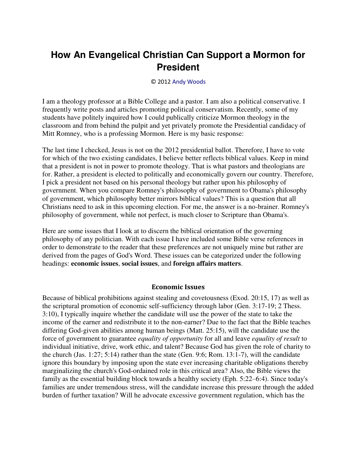# **How An Evangelical Christian Can Support a Mormon for President**

#### © 2012 [Andy Woods](http://www.spiritandtruth.org/id/aw.htm)

I am a theology professor at a Bible College and a pastor. I am also a political conservative. I frequently write posts and articles promoting political conservatism. Recently, some of my students have politely inquired how I could publically criticize Mormon theology in the classroom and from behind the pulpit and yet privately promote the Presidential candidacy of Mitt Romney, who is a professing Mormon. Here is my basic response:

The last time I checked, Jesus is not on the 2012 presidential ballot. Therefore, I have to vote for which of the two existing candidates, I believe better reflects biblical values. Keep in mind that a president is not in power to promote theology. That is what pastors and theologians are for. Rather, a president is elected to politically and economically govern our country. Therefore, I pick a president not based on his personal theology but rather upon his philosophy of government. When you compare Romney's philosophy of government to Obama's philosophy of government, which philosophy better mirrors biblical values? This is a question that all Christians need to ask in this upcoming election. For me, the answer is a no-brainer. Romney's philosophy of government, while not perfect, is much closer to Scripture than Obama's.

Here are some issues that I look at to discern the biblical orientation of the governing philosophy of any politician. With each issue I have included some Bible verse references in order to demonstrate to the reader that these preferences are not uniquely mine but rather are derived from the pages of God's Word. These issues can be categorized under the following headings: **economic issues**, **social issues**, and **foreign affairs matters**.

#### **Economic Issues**

Because of biblical prohibitions against stealing and covetousness (Exod. 20:15, 17) as well as the scriptural promotion of economic self-sufficiency through labor (Gen. 3:17-19; 2 Thess. 3:10), I typically inquire whether the candidate will use the power of the state to take the income of the earner and redistribute it to the non-earner? Due to the fact that the Bible teaches differing God-given abilities among human beings (Matt. 25:15), will the candidate use the force of government to guarantee *equality of opportunity* for all and leave *equality of result* to individual initiative, drive, work ethic, and talent? Because God has given the role of charity to the church (Jas. 1:27; 5:14) rather than the state (Gen. 9:6; Rom. 13:1-7), will the candidate ignore this boundary by imposing upon the state ever increasing charitable obligations thereby marginalizing the church's God-ordained role in this critical area? Also, the Bible views the family as the essential building block towards a healthy society (Eph. 5:22–6:4). Since today's families are under tremendous stress, will the candidate increase this pressure through the added burden of further taxation? Will he advocate excessive government regulation, which has the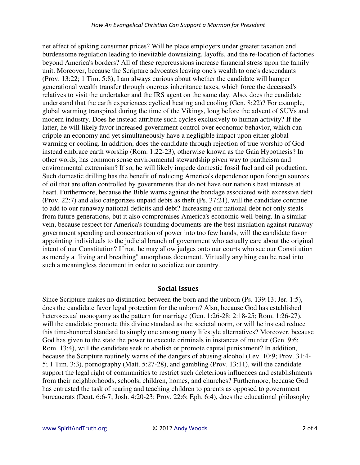net effect of spiking consumer prices? Will he place employers under greater taxation and burdensome regulation leading to inevitable downsizing, layoffs, and the re-location of factories beyond America's borders? All of these repercussions increase financial stress upon the family unit. Moreover, because the Scripture advocates leaving one's wealth to one's descendants (Prov. 13:22; 1 Tim. 5:8), I am always curious about whether the candidate will hamper generational wealth transfer through onerous inheritance taxes, which force the deceased's relatives to visit the undertaker and the IRS agent on the same day. Also, does the candidate understand that the earth experiences cyclical heating and cooling (Gen. 8:22)? For example, global warming transpired during the time of the Vikings, long before the advent of SUVs and modern industry. Does he instead attribute such cycles exclusively to human activity? If the latter, he will likely favor increased government control over economic behavior, which can cripple an economy and yet simultaneously have a negligible impact upon either global warming or cooling. In addition, does the candidate through rejection of true worship of God instead embrace earth worship (Rom. 1:22-23), otherwise known as the Gaia Hypothesis? In other words, has common sense environmental stewardship given way to pantheism and environmental extremism? If so, he will likely impede domestic fossil fuel and oil production. Such domestic drilling has the benefit of reducing America's dependence upon foreign sources of oil that are often controlled by governments that do not have our nation's best interests at heart. Furthermore, because the Bible warns against the bondage associated with excessive debt (Prov. 22:7) and also categorizes unpaid debts as theft (Ps. 37:21), will the candidate continue to add to our runaway national deficits and debt? Increasing our national debt not only steals from future generations, but it also compromises America's economic well-being. In a similar vein, because respect for America's founding documents are the best insulation against runaway government spending and concentration of power into too few hands, will the candidate favor appointing individuals to the judicial branch of government who actually care about the original intent of our Constitution? If not, he may allow judges onto our courts who see our Constitution as merely a "living and breathing" amorphous document. Virtually anything can be read into such a meaningless document in order to socialize our country.

### **Social Issues**

Since Scripture makes no distinction between the born and the unborn (Ps. 139:13; Jer. 1:5), does the candidate favor legal protection for the unborn? Also, because God has established heterosexual monogamy as the pattern for marriage (Gen. 1:26-28; 2:18-25; Rom. 1:26-27), will the candidate promote this divine standard as the societal norm, or will he instead reduce this time-honored standard to simply one among many lifestyle alternatives? Moreover, because God has given to the state the power to execute criminals in instances of murder (Gen. 9:6; Rom. 13:4), will the candidate seek to abolish or promote capital punishment? In addition, because the Scripture routinely warns of the dangers of abusing alcohol (Lev. 10:9; Prov. 31:4- 5; 1 Tim. 3:3), pornography (Matt. 5:27-28), and gambling (Prov. 13:11), will the candidate support the legal right of communities to restrict such deleterious influences and establishments from their neighborhoods, schools, children, homes, and churches? Furthermore, because God has entrusted the task of rearing and teaching children to parents as opposed to government bureaucrats (Deut. 6:6-7; Josh. 4:20-23; Prov. 22:6; Eph. 6:4), does the educational philosophy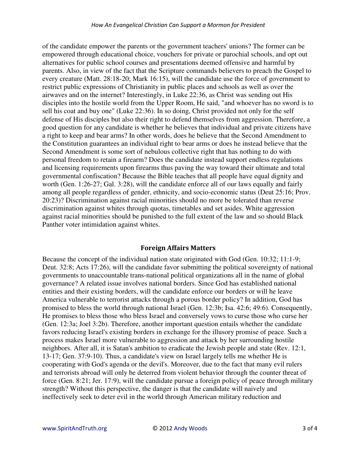of the candidate empower the parents or the government teachers' unions? The former can be empowered through educational choice, vouchers for private or parochial schools, and opt out alternatives for public school courses and presentations deemed offensive and harmful by parents. Also, in view of the fact that the Scripture commands believers to preach the Gospel to every creature (Matt. 28:18-20; Mark 16:15), will the candidate use the force of government to restrict public expressions of Christianity in public places and schools as well as over the airwaves and on the internet? Interestingly, in Luke 22:36, as Christ was sending out His disciples into the hostile world from the Upper Room, He said, "and whoever has no sword is to sell his coat and buy one" (Luke 22:36). In so doing, Christ provided not only for the self defense of His disciples but also their right to defend themselves from aggression. Therefore, a good question for any candidate is whether he believes that individual and private citizens have a right to keep and bear arms? In other words, does he believe that the Second Amendment to the Constitution guarantees an individual right to bear arms or does he instead believe that the Second Amendment is some sort of nebulous collective right that has nothing to do with personal freedom to retain a firearm? Does the candidate instead support endless regulations and licensing requirements upon firearms thus paving the way toward their ultimate and total governmental confiscation? Because the Bible teaches that all people have equal dignity and worth (Gen. 1:26-27; Gal. 3:28), will the candidate enforce all of our laws equally and fairly among all people regardless of gender, ethnicity, and socio-economic status (Deut 25:16; Prov. 20:23)? Discrimination against racial minorities should no more be tolerated than reverse discrimination against whites through quotas, timetables and set asides. White aggression against racial minorities should be punished to the full extent of the law and so should Black Panther voter intimidation against whites.

## **Foreign Affairs Matters**

Because the concept of the individual nation state originated with God (Gen. 10:32; 11:1-9; Deut. 32:8; Acts 17:26), will the candidate favor submitting the political sovereignty of national governments to unaccountable trans-national political organizations all in the name of global governance? A related issue involves national borders. Since God has established national entities and their existing borders, will the candidate enforce our borders or will he leave America vulnerable to terrorist attacks through a porous border policy? In addition, God has promised to bless the world through national Israel (Gen. 12:3b; Isa. 42:6; 49:6). Consequently, He promises to bless those who bless Israel and conversely vows to curse those who curse her (Gen. 12:3a; Joel 3:2b). Therefore, another important question entails whether the candidate favors reducing Israel's existing borders in exchange for the illusory promise of peace. Such a process makes Israel more vulnerable to aggression and attack by her surrounding hostile neighbors. After all, it is Satan's ambition to eradicate the Jewish people and state (Rev. 12:1, 13-17; Gen. 37:9-10). Thus, a candidate's view on Israel largely tells me whether He is cooperating with God's agenda or the devil's. Moreover, due to the fact that many evil rulers and terrorists abroad will only be deterred from violent behavior through the counter threat of force (Gen. 8:21; Jer. 17:9), will the candidate pursue a foreign policy of peace through military strength? Without this perspective, the danger is that the candidate will naively and ineffectively seek to deter evil in the world through American military reduction and